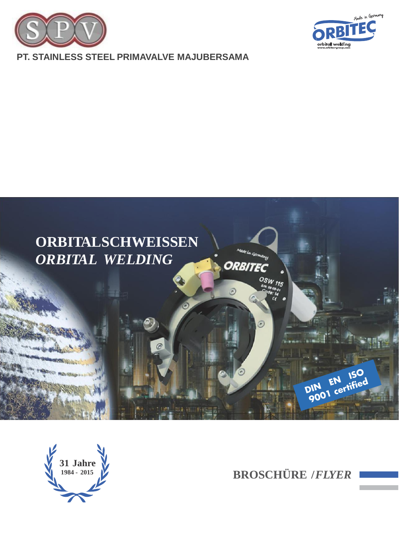



# **PT. STAINLESS STEEL PRIMAVALVE MAJUBERSAMA**



**31 Jahre**

**<sup>1984</sup> - <sup>2015</sup> BROSCHÜRE /***FLYER*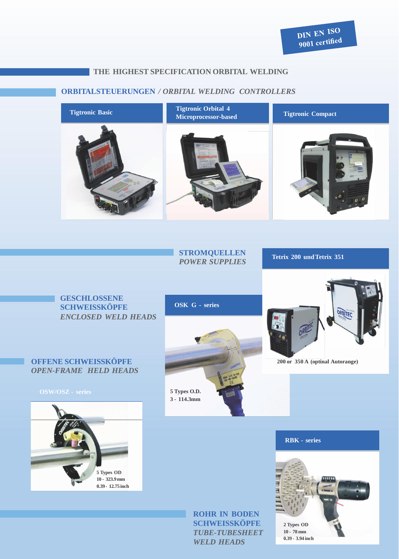# **THE HIGHEST SPECIFICATION ORBITAL WELDING**

# **ORBITALSTEUERUNGEN** */ ORBITAL WELDING CONTROLLERS*



## **STROMQUELLEN** *POWER SUPPLIES* **Tetrix <sup>200</sup> undTetrix <sup>351</sup>**

# **GESCHLOSSENE SCHWEISSKÖPFE** *ENCLOSED WELD HEADS*

# **OFFENE SCHWEISSKÖPFE** *OPEN-FRAME HELD HEADS*



# **OSK G - series**



**ROHR IN BODEN SCHWEISSKÖPFE** *TUBE-TUBESHEET WELD HEADS*



#### **200 or 350 A (optinal Autorange)**

#### **RBK - series**

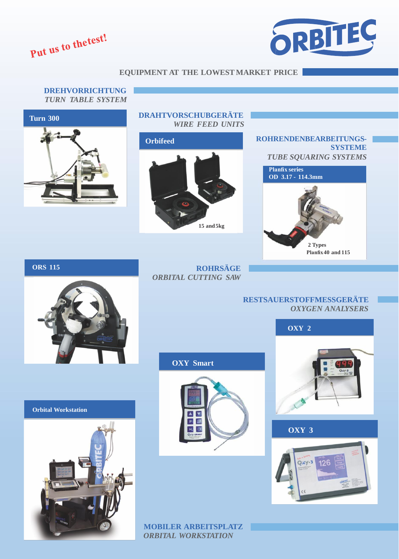Put us to the test!



### **EQUIPMENT AT THE LOWEST MARKET PRICE**

**DREHVORRICHTUNG** *TURN TABLE SYSTEM* **Turn 300**



**DRAHTVORSCHUBGERÄTE** *WIRE FEED UNITS*





**ORS 115**

**ROHRSÄGE** *ORBITAL CUTTING SAW*

**OXY Smart**

 $\overline{P}$  $\mathbf{B}$ 

## **RESTSAUERSTOFFMESSGERÄTE** *OXYGEN ANALYSERS*



**OXY 3**





**MOBILER ARBEITSPLATZ** *ORBITAL WORKSTATION*